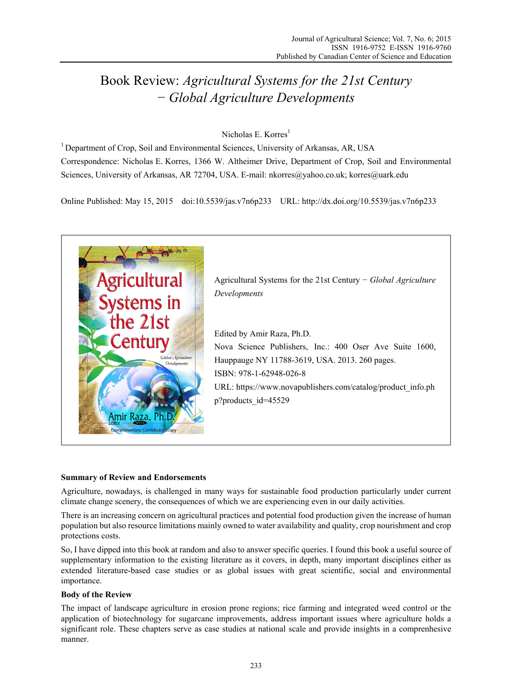# Book Review: *Agricultural Systems for the 21st Century*  − *Global Agriculture Developments*

## Nicholas E. Korres<sup>1</sup>

<sup>1</sup> Department of Crop, Soil and Environmental Sciences, University of Arkansas, AR, USA Correspondence: Nicholas E. Korres, 1366 W. Altheimer Drive, Department of Crop, Soil and Environmental Sciences, University of Arkansas, AR 72704, USA. E-mail: nkorres@yahoo.co.uk; korres@uark.edu

Online Published: May 15, 2015 doi:10.5539/jas.v7n6p233 URL: http://dx.doi.org/10.5539/jas.v7n6p233



## **Summary of Review and Endorsements**

Agriculture, nowadays, is challenged in many ways for sustainable food production particularly under current climate change scenery, the consequences of which we are experiencing even in our daily activities.

There is an increasing concern on agricultural practices and potential food production given the increase of human population but also resource limitations mainly owned to water availability and quality, crop nourishment and crop protections costs.

So, I have dipped into this book at random and also to answer specific queries. I found this book a useful source of supplementary information to the existing literature as it covers, in depth, many important disciplines either as extended literature-based case studies or as global issues with great scientific, social and environmental importance.

## **Body of the Review**

The impact of landscape agriculture in erosion prone regions; rice farming and integrated weed control or the application of biotechnology for sugarcane improvements, address important issues where agriculture holds a significant role. These chapters serve as case studies at national scale and provide insights in a comprenhesive manner.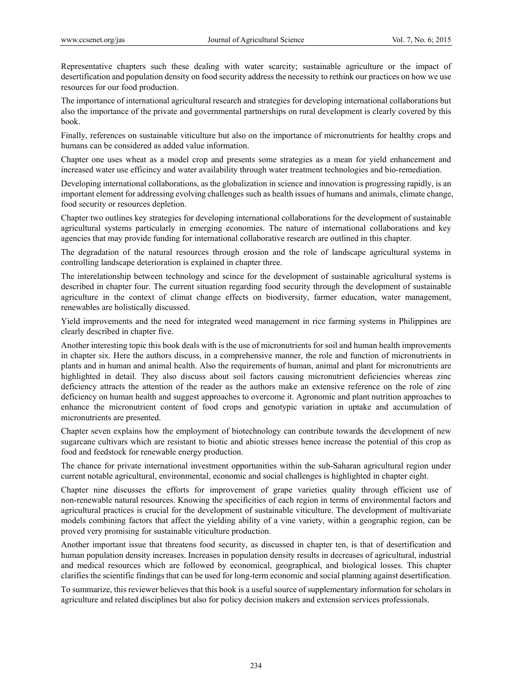Representative chapters such these dealing with water scarcity; sustainable agriculture or the impact of desertification and population density on food security address the necessity to rethink our practices on how we use resources for our food production.

The importance of international agricultural research and strategies for developing international collaborations but also the importance of the private and governmental partnerships on rural development is clearly covered by this book.

Finally, references on sustainable viticulture but also on the importance of micronutrients for healthy crops and humans can be considered as added value information.

Chapter one uses wheat as a model crop and presents some strategies as a mean for yield enhancement and increased water use efficincy and water availability through water treatment technologies and bio-remediation.

Developing international collaborations, as the globalization in science and innovation is progressing rapidly, is an important element for addressing evolving challenges such as health issues of humans and animals, climate change, food security or resources depletion.

Chapter two outlines key strategies for developing international collaborations for the development of sustainable agricultural systems particularly in emerging economies. The nature of international collaborations and key agencies that may provide funding for international collaborative research are outlined in this chapter.

The degradation of the natural resources through erosion and the role of landscape agricultural systems in controlling landscape deterioration is explained in chapter three.

The interelationship between technology and scince for the development of sustainable agricultural systems is described in chapter four. The current situation regarding food security through the development of sustainable agriculture in the context of climat change effects on biodiversity, farmer education, water management, renewables are holistically discussed.

Yield improvements and the need for integrated weed management in rice farming systems in Philippines are clearly described in chapter five.

Another interesting topic this book deals with is the use of micronutrients for soil and human health improvements in chapter six. Here the authors discuss, in a comprehensive manner, the role and function of micronutrients in plants and in human and animal health. Also the requirements of human, animal and plant for micronutrients are highlighted in detail. They also discuss about soil factors causing micronutrient deficiencies whereas zinc deficiency attracts the attention of the reader as the authors make an extensive reference on the role of zinc deficiency on human health and suggest approaches to overcome it. Agronomic and plant nutrition approaches to enhance the micronutrient content of food crops and genotypic variation in uptake and accumulation of micronutrients are presented.

Chapter seven explains how the employment of biotechnology can contribute towards the development of new sugarcane cultivars which are resistant to biotic and abiotic stresses hence increase the potential of this crop as food and feedstock for renewable energy production.

The chance for private international investment opportunities within the sub-Saharan agricultural region under current notable agricultural, environmental, economic and social challenges is highlighted in chapter eight.

Chapter nine discusses the efforts for improvement of grape varieties quality through efficient use of non-renewable natural resources. Knowing the specificities of each region in terms of environmental factors and agricultural practices is crucial for the development of sustainable viticulture. The development of multivariate models combining factors that affect the yielding ability of a vine variety, within a geographic region, can be proved very promising for sustainable viticulture production.

Another important issue that threatens food security, as discussed in chapter ten, is that of desertification and human population density increases. Increases in population density results in decreases of agricultural, industrial and medical resources which are followed by economical, geographical, and biological losses. This chapter clarifies the scientific findings that can be used for long-term economic and social planning against desertification.

To summarize, this reviewer believes that this book is a useful source of supplementary information for scholars in agriculture and related disciplines but also for policy decision makers and extension services professionals.